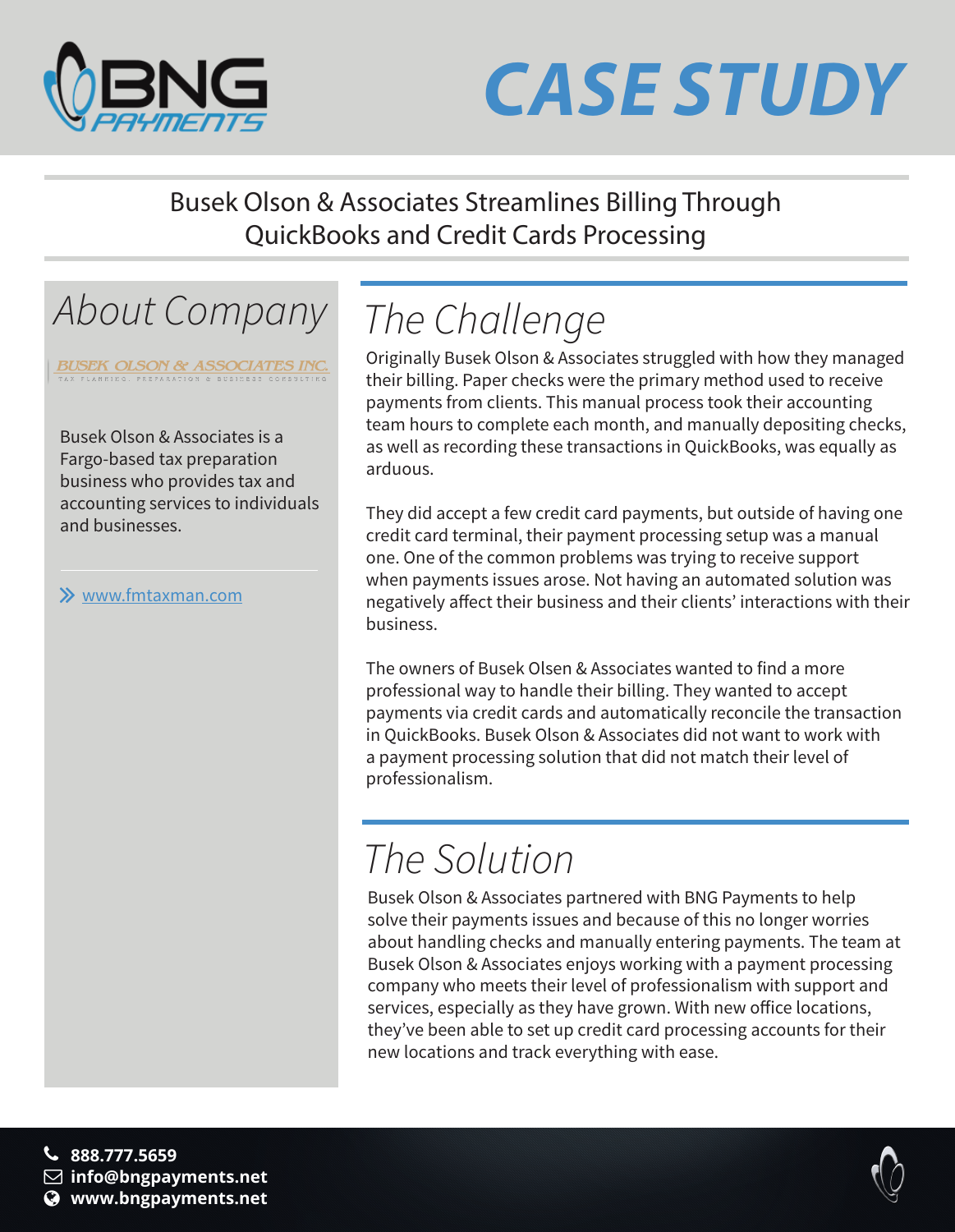

# *CASE STUDY*

Busek Olson & Associates Streamlines Billing Through QuickBooks and Credit Cards Processing

## *About Company The Challenge*

**BUSEK OLSON & ASSOCIATES INC.** 

Busek Olson & Associates is a Fargo-based tax preparation business who provides tax and accounting services to individuals and businesses.

### www.fmtaxman.com

Originally Busek Olson & Associates struggled with how they managed their billing. Paper checks were the primary method used to receive payments from clients. This manual process took their accounting team hours to complete each month, and manually depositing checks, as well as recording these transactions in QuickBooks, was equally as arduous.

They did accept a few credit card payments, but outside of having one credit card terminal, their payment processing setup was a manual one. One of the common problems was trying to receive support when payments issues arose. Not having an automated solution was negatively affect their business and their clients' interactions with their business.

The owners of Busek Olsen & Associates wanted to find a more professional way to handle their billing. They wanted to accept payments via credit cards and automatically reconcile the transaction in QuickBooks. Busek Olson & Associates did not want to work with a payment processing solution that did not match their level of professionalism.

## *The Solution*

Busek Olson & Associates partnered with BNG Payments to help solve their payments issues and because of this no longer worries about handling checks and manually entering payments. The team at Busek Olson & Associates enjoys working with a payment processing company who meets their level of professionalism with support and services, especially as they have grown. With new office locations, they've been able to set up credit card processing accounts for their new locations and track everything with ease.

**888.777.5659 info@bngpayments.net www.bngpayments.net**